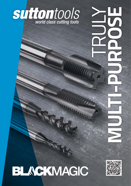

# BLACKMAGIC

ANANIA

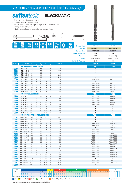## **DIN Taps** *Metric & Metric Fine, Spiral Flute, Gun, Black Magic*

**BLACKMAGIC** 

*- Universal high performance tapping*

**suttontools** 

- *PM-HSSE V3 offers superior tool life*
- *Use in stainless steels and high strength steels up to 850N/mm2*
- Through holes up to 3 x d<sub>1</sub>

*Size Ref. d1 Pitch l*

*- Suitable for synchronous tapping in machine operations*



|                          |                                        |                                           |            | <b>DIN</b>                                           |                  |              | <b>DIN</b>     | WWW          |                   |                                    |                        |                        |
|--------------------------|----------------------------------------|-------------------------------------------|------------|------------------------------------------------------|------------------|--------------|----------------|--------------|-------------------|------------------------------------|------------------------|------------------------|
|                          |                                        | <b>DIN</b><br>371                         |            | 376                                                  |                  |              | 374            |              | Z                 | <b>HSC</b><br><b>Product Group</b> | D0410                  | D0410                  |
|                          |                                        |                                           |            |                                                      | М                |              |                | <b>MF</b>    |                   | <b>Material</b>                    | <b>PM-HSSEV3</b>       | <b>PM-HSSEV3</b>       |
|                          |                                        |                                           |            |                                                      |                  |              |                |              |                   | <b>Surface Finish</b>              | <b>HARDLUBE</b>        | <b>HARDLUBE</b>        |
|                          |                                        |                                           |            |                                                      |                  |              |                |              |                   | <b>Sutton Designation</b>          | UNI                    | UNI                    |
|                          |                                        |                                           |            |                                                      |                  |              |                |              |                   | <b>Geometry</b>                    | <b>R50</b>             | <b>Special Relief</b>  |
|                          |                                        |                                           |            |                                                      |                  |              |                |              |                   | <b>Chamfer</b>                     | Form C / 2.5 x P       | Form B / 4.5 x P       |
|                          |                                        |                                           |            |                                                      |                  |              |                |              |                   | <b>Limit &amp; Nut Tolerance</b>   | 6HX                    | 6HX                    |
|                          |                                        |                                           |            |                                                      |                  |              |                |              |                   |                                    |                        |                        |
| ize Ref.                 | d,                                     | <b>Pitch</b>                              | I,         | I,                                                   | $\mathbf{d}_{2}$ | sq           | I,             | $\mathbf{Z}$ | drill $\emptyset$ |                                    | Item #                 | Item #                 |
|                          |                                        | <b>DIN 371 REINFORCED SHANK</b>           |            |                                                      |                  |              |                |              |                   |                                    | <b>T684</b>            | <b>T687</b>            |
| 0200                     | <b>M2</b> $\times$ 0.4                 |                                           | 45<br>45   | $\overline{\phantom{a}}$                             | 2.8              | 2.1          | 5<br>5         | 3            | 1.6               |                                    | $\bullet$<br>$\bullet$ | $\bullet$<br>$\bullet$ |
| 0220<br>0230             | <b>M 2.3</b> $\times$ 0.4              | M 2.2 x 0.45                              | 45         | $\overline{\phantom{a}}$<br>$\overline{\phantom{a}}$ | 2.8<br>2.8       | 2.1<br>2.1   | 5              | 3<br>3       | 1.75<br>1.9       |                                    | $\bullet$              | $\bullet$              |
| 0250                     |                                        | <b>M 2.5</b> $\times$ 0.45                | 50         | $\overline{\phantom{a}}$                             | 2.8              | 2.1          | 5              | 3            | 2.05              |                                    | $\bullet$              | $\bullet$              |
| 0260                     |                                        | M 2.6 x 0.45                              | 50         | $\overline{\phantom{a}}$                             | 2.8              | 2.1          | 5              | 3            | 2.15              |                                    |                        | $\bullet$              |
| 0300                     | $M3 \times 0.5$                        |                                           | 56         | 18                                                   | 3.5              | 2.7          | 6              | 3            | 2.5               |                                    | T684 0300              | T6870300               |
| 0350                     | <b>M 3.5</b> $\times$ 0.6              |                                           | 56         | 20                                                   | 4.0              | 3.0          | 6              | 3            | 2.9               |                                    | $\bullet$              | $\bullet$              |
| 0400                     | M 4                                    | x 0.7                                     | 63         | 21                                                   | 4.5              | 3.4          | 6              | 3            | 3.3               |                                    | T684 0400              | T6870400               |
| 0500                     | M 5                                    | x 0.8                                     | 70         | 25                                                   | 6.0              | 4.9          | 8              | 3            | 4.2               |                                    | T684 0500              | T6870500               |
| 0600                     | M 6                                    | x 1                                       | 80         | 30                                                   | 6.0              | 4.9          | 8              | 3            | 5.0               |                                    | T684 0600              | T6870600               |
| 0800                     | M 8                                    | x 1.25                                    | 90         | 35                                                   | 8.0              | 6.2          | $\overline{9}$ | 3            | 6.8               |                                    | T684 0800              | T6870800               |
| 1000                     | M 10 x 1.5                             |                                           | 100        | 39                                                   | 10.0             | 8.0          | 11             | 3            | 8.5               |                                    | T684 1000              | T687 1000              |
|                          |                                        | <b>DIN 376 REDUCED SHANK</b>              |            |                                                      |                  |              |                |              |                   |                                    | <b>T685</b>            | <b>T688</b>            |
| 1200                     |                                        | M 12 x 1.75 110                           |            | ä,                                                   | 9.0              | 7.0          | 10             | 3            | 10.2              |                                    | T685 1200              | T688 1200              |
| 1400                     | $M$ 14 $\times$ 2                      |                                           | 110        | $\overline{\phantom{a}}$                             | 11.0             | 9.0          | 12             | 3            | 12.0              |                                    | T685 1400              | T688 1400              |
| 1600                     | M 16 $\times$ 2                        |                                           | 110        | $\overline{\phantom{a}}$                             | 12.0             | 9.0          | 12             | 4            | 14.0              |                                    | T685 1600              | T688 1600              |
| 1800                     | <b>M 18</b> $\times 2.5$<br>M 20 x 2.5 |                                           | 125        | $\overline{\phantom{a}}$                             | 14.0             | 11.0         | 14             | 4            | 15.5              |                                    | T685 1800<br>T685 2000 | T688 1800              |
| 2000<br>2200             | <b>M 22</b> $\times 2.5$               |                                           | 140<br>140 | $\overline{\phantom{a}}$                             | 16.0<br>18.0     | 12.0<br>14.5 | 15<br>17       | 4<br>4       | 17.5<br>19.5      |                                    | $\bullet$              | T688 2000<br>$\bullet$ |
| 2400                     | $M$ 24 $\times$ 3                      |                                           | 160        | $\overline{\phantom{a}}$                             | 18.0             | 14.5         | 17             | 4            | 21.0              |                                    | $\bullet$              | $\bullet$              |
| 2700                     | $M$ 27 $\times$ 3                      |                                           | 160        |                                                      | 20.0             | 16.0         | 19             | 4            | 24.0              |                                    | $\bullet$              | $\bullet$              |
| 3000                     | M 30 x 3.5                             |                                           | 180        | ä,                                                   | 22.0             | 18.0         | 21             | 4            | 26.5              |                                    | $\bullet$              | $\bullet$              |
|                          |                                        | <b>DIN 374 FINE PITCH - REDUCED SHANK</b> |            |                                                      |                  |              |                |              |                   |                                    | <b>T686</b>            | <b>T689</b>            |
| 0302                     |                                        | $MF3 \times 0.35$                         | 56         | ä,                                                   | 2.2              | ÷,           | ٠              | 3            | 2.65              |                                    | $\bullet$              | $\bullet$              |
| 0403                     | MF 4 $\times$ 0.5                      |                                           | 63         | $\overline{\phantom{a}}$                             | 2.8              | 2.1          | 5              | 3            | 3.5               |                                    | $\bullet$              | $\bullet$              |
| 0503                     | MF 5 $\times$ 0.5                      |                                           | 70         | $\overline{\phantom{a}}$                             | 3.5              | 2.7          | 6              | 3            | 4.5               |                                    | $\bullet$              | ٠                      |
| 0604                     |                                        | MF 6 x 0.75                               | 80         | $\overline{\phantom{a}}$                             | 4.5              | 3.4          | 6              | 3            | 5.3               |                                    | T686 0604              | T689 0604              |
| 0803                     | $MF8 \times 0.5$                       |                                           | 80         | $\overline{\phantom{a}}$                             | 6.0              | 4.9          | 8              | 3            | 7.5               |                                    | T686 0803              |                        |
| 0804                     |                                        | $MF8 \times 0.75$                         | 80         | $\overline{\phantom{a}}$                             | 7.0              | 4.9          | 8              | 3            | 7.3               |                                    | $\bullet$              | T689 0804              |
| 0805                     | $MF8 \times 1$                         |                                           | 90         | $\overline{\phantom{a}}$                             | 6.0              | 4.9          | 8              | 3            | 7.0               |                                    | T686 0805              | T689 0805              |
| 1004                     | MF 10 x 0.75<br>MF 10 x 1              |                                           | 90<br>90   | $\overline{\phantom{a}}$                             | 7.0<br>7.0       | 5.5<br>5.5   | 8<br>8         | 3<br>3       | 9.3<br>9.0        |                                    | T686 1004<br>T686 1005 | $\bullet$<br>T689 1005 |
| 1005<br>1006             | <b>MF 10 x 1.25</b>                    |                                           | 100        |                                                      | 7.0              | 5.5          | 8              | 3            | 8.8               |                                    | T686 1006              | T689 1006              |
| 1205                     | <b>MF 12 x 1</b>                       |                                           | 100        | $\overline{\phantom{a}}$                             | 9.0              | 7.0          | 10             | 3            | 11.0              |                                    | T686 1205              | T689 1205              |
| <b>1206 MF 12</b> x 1.25 |                                        |                                           | 100        |                                                      | 9.0              | 7.0          | 10             | 3            | 10.8              |                                    | T686 1206              | T689 1206              |
| 1207 MF 12 x 1.5         |                                        |                                           | 100        | $\overline{\phantom{a}}$                             | 9.0              | 7.0          | 10             | 3            | 10.5              |                                    | T686 1207              | T689 1207              |
| 1405                     | MF 14 $\times$ 1                       |                                           | 100        | $\qquad \qquad -$                                    | 11.0             | 9.0          | 12             | 3            | 13.0              |                                    | T686 1405              | T689 1405              |
| 1406                     | <b>MF 14</b> $\times$ 1.25             |                                           | 100        | $\overline{\phantom{a}}$                             | 11.0             | 9.0          | 12             | 3            | 12.8              |                                    | T686 1406              | T689 1406              |
| 1407                     | <b>MF 14</b> $\times$ 1.5              |                                           | 100        | $\overline{\phantom{a}}$                             | 11.0             | 9.0          | 12             | 3            | 12.5              |                                    | T686 1407              | T689 1407              |
| 1605                     | MF 16 $\times$ 1                       |                                           | 100        | $\overline{\phantom{a}}$                             | 12.0             | 9.0          | 12             | 3            | 15.0              |                                    | T686 1605              | T689 1605              |
| 1607                     | <b>MF 16</b> $\times$ 1.5              |                                           | 100        | $\overline{\phantom{a}}$                             | 12.0             | 9.0          | 12             | 3            | 14.5              |                                    | T686 1607              | T689 1607              |
| 1805                     | MF 18 $\times$ 1                       |                                           | 110        | $\overline{\phantom{a}}$                             | 14.0             | 11.0         | 14             | 4            | 17.0              |                                    | T686 1805              | T689 1805              |
| 1807                     | <b>MF 18</b> $\times$ 1.5              |                                           | 110        | $\overline{\phantom{a}}$                             | 14.0             | 11.0         | 14             | 4            | 16.5              |                                    | T686 1807              | T689 1807              |
| 1808<br>2005             | MF 18 $\times$ 2                       |                                           | 125<br>125 | $\overline{\phantom{a}}$                             | 14.0<br>16.0     | 11.0<br>12.0 | 14<br>15       | 4<br>4       | 16.0<br>19.0      |                                    | $\bullet$<br>T686 2005 | $\bullet$<br>T689 2005 |
| 2007                     | MF 20 $\times$ 1<br>MF 20 x 1.5        |                                           | 125        | $\overline{\phantom{a}}$<br>$\overline{\phantom{a}}$ | 16.0             | 12.0         | 15             | 4            | 18.5              |                                    | T686 2007              | T689 2007              |
|                          |                                        |                                           |            |                                                      |                  |              |                |              |                   |                                    |                        |                        |

**P** Steel **M** Stainless Steel **K** Cast Iron **N** Non-Ferrous Metals **S** Titanium & Super Alloys **H** Hard Materials *T687/T688/T689* ••••*T684/T685/T686* **VDI 3323 ISO** 1 2 3 4 5 6<br> **• • •** • • • •<br>• • • • • • • • **P**  $\bullet$  IC **1 2 3 4 5 6 7 8 9 10 11 12 13 14.1 14.2 14.3**  $\left| \bullet \right|$  • *10 11* • *12* • *13* • *14.1* • *14.214.3* ••••••• **M** •••••••••••••• • *15* • *16* • *17* • *18* • *19* • *20* • *21* • *22* • *23* • *24* • *25* • *26* • *27* **K N** *<sup>28</sup> <sup>29</sup> <sup>30</sup> <sup>31</sup>* **S** *32 33 34 35 36 37.137.237.337.437.5* **O** Optimal **O** Effective *38.1 38.239.1 39.2 40 41* **H**



*2008 MF 20 x 2 140 - 16.0 12.0 15 4 18.0* • •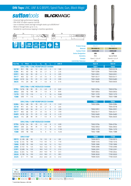# *DIN Taps UNC, UNF & G (BSPF), Spiral Flute, Gun, Black Magic*

**BLACKMAGIC** 

*- Universal high performance tapping*

**suttontools** 

- *PM-HSSE V3 offers superior tool life*
- *Use in stainless steels and high strength steels up to 850N/mm2*
- Blind or through holes up to 3 x d<sub>1</sub>
- *Suitable for synchronous tapping in machine operations*



|            |                   | <b>DIN</b>       |            |                                        |                                                                                  |                 |              |                |                   |                                  |                  |                       |
|------------|-------------------|------------------|------------|----------------------------------------|----------------------------------------------------------------------------------|-----------------|--------------|----------------|-------------------|----------------------------------|------------------|-----------------------|
|            |                   |                  | $2184 - 1$ | <b>UNC</b>                             | $\overset{\wedge\!\!\!\wedge\!\!\!\wedge\!\!\!\wedge\!\!\!\wedge}{\mathsf{UNF}}$ |                 | $\mathbf{Z}$ |                | <b>HSC</b>        | <b>Product Group</b>             | D0410            | D0410                 |
|            |                   |                  |            |                                        |                                                                                  |                 |              |                |                   | <b>Material</b>                  | <b>PM-HSSEV3</b> | <b>PM-HSSEV3</b>      |
|            |                   |                  |            |                                        |                                                                                  |                 |              |                |                   | <b>Surface Finish</b>            | <b>HARDLUBE</b>  | <b>HARDLUBE</b>       |
|            |                   |                  |            |                                        |                                                                                  |                 |              |                |                   | <b>Sutton Designation</b>        | UNI              | UNI                   |
|            |                   |                  |            |                                        |                                                                                  |                 |              |                |                   | <b>Geometry</b>                  | <b>R50</b>       | <b>Special Relief</b> |
|            |                   |                  |            |                                        |                                                                                  |                 |              |                |                   | <b>Chamfer</b>                   | Form C / 2.5 x P | Form B / 4.5 x P      |
|            |                   |                  |            |                                        |                                                                                  |                 |              |                |                   | <b>Limit &amp; Nut Tolerance</b> | 2BX              | 2BX                   |
| Size Ref.  | d,                | <b>Pitch</b>     | I.         | $\mathbf{l}_{\mathbf{s}}$              | d <sub>2</sub>                                                                   | sq              | I,           | $\mathbf{z}$   | drill $\emptyset$ |                                  | Item#            | Item#                 |
|            |                   |                  |            | <b>DIN 2184-1 UNC REINFORCED SHANK</b> |                                                                                  |                 |              |                |                   |                                  | <b>T691</b>      | <b>T693</b>           |
| 0218       | #2                | 56               | 45         | 12                                     | 2.8                                                                              | 2.1             | 5            | 3              | 1.85              |                                  | T6910218         | T6930218              |
| 0284       | #4                | 40               | 56         | 18                                     | 3.5                                                                              | 2.7             | 6            | 3              | 2.35              |                                  | T6910284         | T6930284              |
| 0351       | #6                | 32               | 56         | 20                                     | 4                                                                                | 3               | 6            | 3              | 2.85              |                                  | T6910351         | T693 0351             |
| 0417       | #8                | 32               | 63         | 21                                     | 4.5                                                                              | 3.4             | 6            | 3              | 3.50              |                                  | T6910417         | T693 0417             |
| 0483       | #10               | 24               | 70         | 25                                     | 6                                                                                | 4.9             | 8            | 3              | 3.90              |                                  | T6910483         | T693 0483             |
| 0635       | 1/4               | 20               | 80         | 30                                     | $\overline{7}$                                                                   | 5.5             | 8            | 3              | 5.10              |                                  | T6910635         | T693 0635             |
|            |                   |                  |            |                                        |                                                                                  |                 |              |                |                   |                                  |                  |                       |
|            |                   |                  |            | <b>DIN 2184-1 UNC REDUCED SHANK</b>    |                                                                                  |                 |              |                |                   |                                  |                  |                       |
| 0794       | 5/16              | 18               | 90         | 35                                     | 6                                                                                | 4.9             | 8            | 3              | 6.60              |                                  | T6910794         | T693 0794             |
| 0953       | 3/8               | 16               | 100        | 39                                     | 7                                                                                | 5.5             | 8            | 3              | 8.00              |                                  | T6910953         | T693 0953             |
| 1270       | 1/2               | 13               | 110        | $\overline{\phantom{a}}$               | 9                                                                                | $\overline{7}$  | 10           | 4              | 10.80             |                                  | T691 1270        | T693 1270             |
| 1588       | 5/8               | 11               | 110        | $\overline{\phantom{a}}$               | 12                                                                               | 9               | 12           | 4              | 13.50             |                                  | T691 1588        | T693 1588             |
|            |                   |                  |            |                                        |                                                                                  |                 |              |                |                   |                                  |                  |                       |
|            |                   |                  |            | <b>DIN 2184-1 UNF REINFORCED SHANK</b> |                                                                                  |                 |              |                |                   |                                  | <b>T692</b>      | <b>T694</b>           |
| 0284       | #4                | 48               | 56         | 18                                     | 3.5                                                                              | 2.7             | 6            | 3              | 2.40              |                                  | T692 0284        | T694 0284             |
| 0318       | #5                | 44               | 56         | 18                                     | 3.5                                                                              | 2.7             | 6            | 3              | 2.65              |                                  |                  | T694 0318             |
| 0351       | #6                | 40               | 56         | 20                                     | 4                                                                                | 3               | 6            | 3              | 2.95              |                                  | T692 0351        | T694 0351             |
| 0417       | #8                | 36               | 63         | 21                                     | 4.5                                                                              | 3.4             | 6            | 3              | 3.50              |                                  | T692 0417        | T694 0417             |
| 0483       | #10               | 32               | 70         | 25                                     | 6                                                                                | 4.9             | 8            | $\overline{3}$ | 4.10              |                                  | T692 0483        | T694 0483             |
| 0635       | 1/4               | 28               | 80         | 30                                     | 7                                                                                | 5.5             | 8            | 3              | 5.50              |                                  | T692 0635        | T694 0635             |
|            |                   |                  |            |                                        |                                                                                  |                 |              |                |                   |                                  |                  |                       |
|            |                   |                  |            | <b>DIN 2184-1 UNF REDUCED SHANK</b>    |                                                                                  |                 |              |                |                   |                                  |                  |                       |
| 0794       | $5/16$            | 24               | 90         | 35                                     | 6                                                                                | 4.9             | 8            | 3              | 6.90              |                                  | T692 0794        | T694 0794             |
| 0953       | 3/8               | 24               | 90         | 39                                     | $\overline{7}$                                                                   | 5.5             | 8            | 3              | 8.50              |                                  | T692 0953        | T694 0953             |
| 1270       | 1/2               | 20               | 100        | $\overline{\phantom{a}}$               | $\mathsf{9}$                                                                     | $7\overline{ }$ | 10           | 4              | 11.50             |                                  | T692 1270        | T694 1270             |
| 1588       | 5/8               | 18               | 100        | $\Box$                                 | 12                                                                               | 9               | 12           | 4              | 14.50             |                                  | T692 1588        | T694 1588             |
|            |                   |                  |            |                                        |                                                                                  |                 |              |                |                   |                                  |                  |                       |
|            |                   | <b>DIN 5156*</b> |            |                                        |                                                                                  |                 |              |                |                   |                                  | <b>T699</b>      | <b>T700</b>           |
| 0973       | G 1/8 28          |                  | 90         | $\overline{\phantom{a}}$               | 7.0                                                                              | 5.5             | 8            | $\overline{4}$ | 8.8               |                                  | T699 0973        | T700 0973             |
|            | <b>1316</b> G 1/4 | 19               | 100        |                                        | 11.0                                                                             | 9.0             | 12           | 4              | 11.8              |                                  | T699 1316        | T700 1316             |
| 1666 G 3/8 |                   | 19               | 100        |                                        | 12.0                                                                             | 9.0             | 12           | 5              | 15.3              |                                  | T699 1666        | T700 1666             |
| 2096       | G <sub>1/2</sub>  | 14               | 125        | $\overline{\phantom{a}}$               | 16.0                                                                             | 12.0            | 15           | 5              | 19.0              |                                  | T699 2096        | T700 2096             |
| 2291       | G <sub>5/8</sub>  | 14               | 125        | $\overline{\phantom{a}}$               | 18.0                                                                             | 14.5            | 17           | 5              | 21.0              |                                  | T699 2291        | T700 2291             |
| 2644       | G <sub>3/4</sub>  | 14               | 140        | $\overline{\phantom{a}}$               | 20.0                                                                             | 16.0            | 19           | 5              | 24.5              |                                  | T699 2644        | T700 2644             |
| 3020       | G <sub>7/8</sub>  | 14               | 150        | $\overline{\phantom{a}}$               | 22.0                                                                             | 18.0            | 21           | 5              | 28.5              |                                  | T699 3020        | T700 3020             |
| 3325       | G <sub>1</sub>    | 11               | 160        |                                        | 25.0                                                                             | 20.0            | 23           | 5              | 31.0              |                                  | T699 3325        | T700 3325             |
|            |                   |                  |            |                                        |                                                                                  |                 |              |                |                   |                                  |                  |                       |